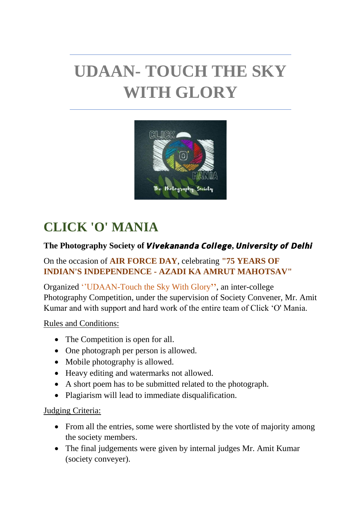# **UDAAN- TOUCH THE SKY WITH GLORY**



# **CLICK 'O' MANIA**

# The Photography Society of Vivekananda College, University of Delhi

#### On the occasion of **AIR FORCE DAY**, celebrating **"75 YEARS OF INDIAN'S INDEPENDENCE - AZADI KA AMRUT MAHOTSAV"**

Organized ''UDAAN-Touch the Sky With Glory**''**, an inter-college Photography Competition, under the supervision of Society Convener, Mr. Amit Kumar and with support and hard work of the entire team of Click 'O' Mania.

Rules and Conditions:

- The Competition is open for all.
- One photograph per person is allowed.
- Mobile photography is allowed.
- Heavy editing and watermarks not allowed.
- A short poem has to be submitted related to the photograph.
- Plagiarism will lead to immediate disqualification.

#### Judging Criteria:

- From all the entries, some were shortlisted by the vote of majority among the society members.
- The final judgements were given by internal judges Mr. Amit Kumar (society conveyer).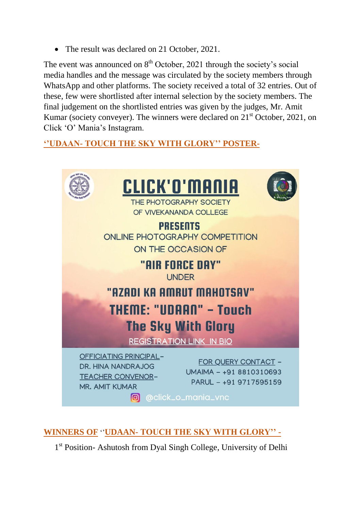• The result was declared on 21 October, 2021.

The event was announced on  $8<sup>th</sup>$  October, 2021 through the society's social media handles and the message was circulated by the society members through WhatsApp and other platforms. The society received a total of 32 entries. Out of these, few were shortlisted after internal selection by the society members. The final judgement on the shortlisted entries was given by the judges, Mr. Amit Kumar (society conveyer). The winners were declared on  $21<sup>st</sup>$  October, 2021, on Click 'O' Mania's Instagram.

# **''UDAAN- TOUCH THE SKY WITH GLORY'' POSTER-**



# **WINNERS OF** ''**UDAAN- TOUCH THE SKY WITH GLORY'' -**

1<sup>st</sup> Position- Ashutosh from Dyal Singh College, University of Delhi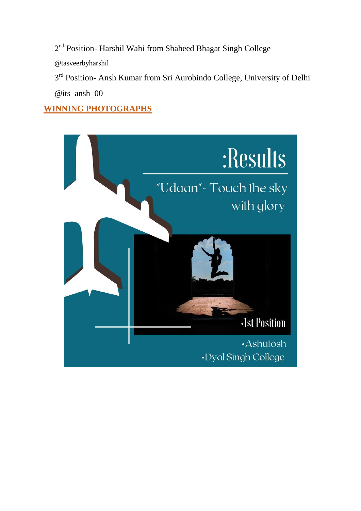2<sup>nd</sup> Position- Harshil Wahi from Shaheed Bhagat Singh College

@tasveerbyharshil

3<sup>rd</sup> Position- Ansh Kumar from Sri Aurobindo College, University of Delhi @its\_ansh\_00

# **WINNING PHOTOGRAPHS**

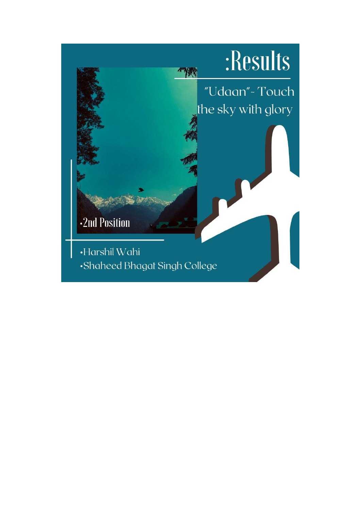